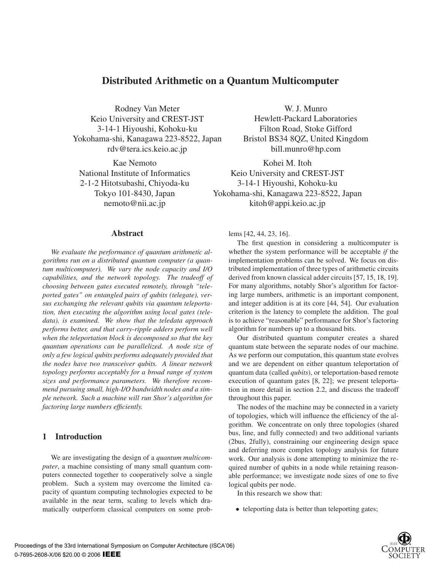# **Distributed Arithmetic on a Quantum Multicomputer**

Rodney Van Meter Keio University and CREST-JST 3-14-1 Hiyoushi, Kohoku-ku Yokohama-shi, Kanagawa 223-8522, Japan rdv@tera.ics.keio.ac.jp

Kae Nemoto National Institute of Informatics 2-1-2 Hitotsubashi, Chiyoda-ku Tokyo 101-8430, Japan nemoto@nii.ac.jp

**Abstract**

*We evaluate the performance of quantum arithmetic algorithms run on a distributed quantum computer (a quantum multicomputer). We vary the node capacity and I/O capabilities, and the network topology. The tradeoff of choosing between gates executed remotely, through "teleported gates" on entangled pairs of qubits (telegate), versus exchanging the relevant qubits via quantum teleportation, then executing the algorithm using local gates (teledata), is examined. We show that the teledata approach performs better, and that carry-ripple adders perform well when the teleportation block is decomposed so that the key quantum operations can be parallelized. A node size of only a few logical qubits performs adequately provided that the nodes have two transceiver qubits. A linear network topology performs acceptably for a broad range of system sizes and performance parameters. We therefore recommend pursuing small, high-I/O bandwidth nodes and a simple network. Such a machine will run Shor's algorithm for factoring large numbers efficiently.*

## **1 Introduction**

We are investigating the design of a *quantum multicomputer*, a machine consisting of many small quantum computers connected together to cooperatively solve a single problem. Such a system may overcome the limited capacity of quantum computing technologies expected to be available in the near term, scaling to levels which dramatically outperform classical computers on some prob-

W. J. Munro Hewlett-Packard Laboratories Filton Road, Stoke Gifford Bristol BS34 8QZ, United Kingdom bill.munro@hp.com

Kohei M. Itoh Keio University and CREST-JST 3-14-1 Hiyoushi, Kohoku-ku Yokohama-shi, Kanagawa 223-8522, Japan kitoh@appi.keio.ac.jp

lems [42, 44, 23, 16].

The first question in considering a multicomputer is whether the system performance will be acceptable *if* the implementation problems can be solved. We focus on distributed implementation of three types of arithmetic circuits derived from known classical adder circuits [57, 15, 18, 19]. For many algorithms, notably Shor's algorithm for factoring large numbers, arithmetic is an important component, and integer addition is at its core [44, 54]. Our evaluation criterion is the latency to complete the addition. The goal is to achieve "reasonable" performance for Shor's factoring algorithm for numbers up to a thousand bits.

Our distributed quantum computer creates a shared quantum state between the separate nodes of our machine. As we perform our computation, this quantum state evolves and we are dependent on either quantum teleportation of quantum data (called *qubits*), or teleportation-based remote execution of quantum gates [8, 22]; we present teleportation in more detail in section 2.2, and discuss the tradeoff throughout this paper.

The nodes of the machine may be connected in a variety of topologies, which will influence the efficiency of the algorithm. We concentrate on only three topologies (shared bus, line, and fully connected) and two additional variants (2bus, 2fully), constraining our engineering design space and deferring more complex topology analysis for future work. Our analysis is done attempting to minimize the required number of qubits in a node while retaining reasonable performance; we investigate node sizes of one to five logical qubits per node.

In this research we show that:

• teleporting data is better than teleporting gates;

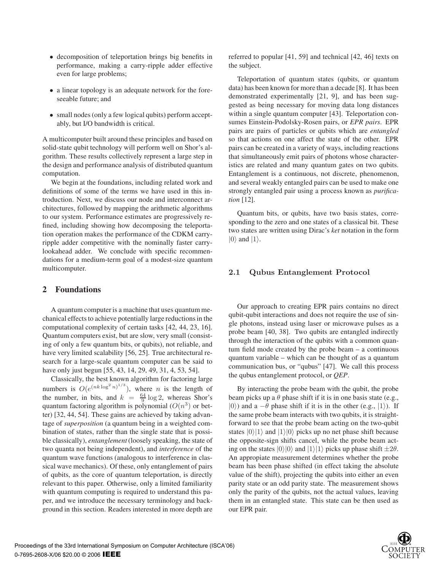- decomposition of teleportation brings big benefits in performance, making a carry-ripple adder effective even for large problems;
- a linear topology is an adequate network for the foreseeable future; and
- small nodes (only a few logical qubits) perform acceptably, but I/O bandwidth is critical.

A multicomputer built around these principles and based on solid-state qubit technology will perform well on Shor's algorithm. These results collectively represent a large step in the design and performance analysis of distributed quantum computation.

We begin at the foundations, including related work and definitions of some of the terms we have used in this introduction. Next, we discuss our node and interconnect architectures, followed by mapping the arithmetic algorithms to our system. Performance estimates are progressively refined, including showing how decomposing the teleportation operation makes the performance of the CDKM carryripple adder competitive with the nominally faster carrylookahead adder. We conclude with specific recommendations for a medium-term goal of a modest-size quantum multicomputer.

# **2 Foundations**

A quantum computer is a machine that uses quantum mechanical effects to achieve potentially large reductions in the computational complexity of certain tasks [42, 44, 23, 16]. Quantum computers exist, but are slow, very small (consisting of only a few quantum bits, or qubits), not reliable, and have very limited scalability [56, 25]. True architectural research for a large-scale quantum computer can be said to have only just begun [55, 43, 14, 29, 49, 31, 4, 53, 54].

Classically, the best known algorithm for factoring large numbers is  $O(e^{(nk \log^2 n)^{1/3}})$ , where *n* is the length of ), where *n* is the length of<br> $\frac{64}{100}$  whereas Shor's the number, in bits, and  $k = \frac{64}{9} \log 2$ , whereas Shor's<br>quantum factoring algorithm is polynomial ( $O(n^3)$ ) or betquantum factoring algorithm is polynomial  $(O(n^3))$  or better) [32, 44, 54]. These gains are achieved by taking advantage of *superposition* (a quantum being in a weighted combination of states, rather than the single state that is possible classically), *entanglement* (loosely speaking, the state of two quanta not being independent), and *interference* of the quantum wave functions (analogous to interference in classical wave mechanics). Of these, only entanglement of pairs of qubits, as the core of quantum teleportation, is directly relevant to this paper. Otherwise, only a limited familiarity with quantum computing is required to understand this paper, and we introduce the necessary terminology and background in this section. Readers interested in more depth are referred to popular [41, 59] and technical [42, 46] texts on the subject.

Teleportation of quantum states (qubits, or quantum data) has been known for more than a decade [8]. It has been demonstrated experimentally [21, 9], and has been suggested as being necessary for moving data long distances within a single quantum computer [43]. Teleportation consumes Einstein-Podolsky-Rosen pairs, or *EPR pairs*. EPR pairs are pairs of particles or qubits which are *entangled* so that actions on one affect the state of the other. EPR pairs can be created in a variety of ways, including reactions that simultaneously emit pairs of photons whose characteristics are related and many quantum gates on two qubits. Entanglement is a continuous, not discrete, phenomenon, and several weakly entangled pairs can be used to make one strongly entangled pair using a process known as *purification* [12].

Quantum bits, or qubits, have two basis states, corresponding to the zero and one states of a classical bit. These two states are written using Dirac's *ket* notation in the form  $|0\rangle$  and  $|1\rangle$ .

#### **2.1 Qubus Entanglement Protocol**

Our approach to creating EPR pairs contains no direct qubit-qubit interactions and does not require the use of single photons, instead using laser or microwave pulses as a probe beam [40, 38]. Two qubits are entangled indirectly through the interaction of the qubits with a common quantum field mode created by the probe beam – a continuous quantum variable – which can be thought of as a quantum communication bus, or "qubus" [47]. We call this process the qubus entanglement protocol, or *QEP*.

By interacting the probe beam with the qubit, the probe beam picks up a  $\theta$  phase shift if it is in one basis state (e.g.,  $|0\rangle$ ) and a  $-\theta$  phase shift if it is in the other (e.g.,  $|1\rangle$ ). If the same probe beam interacts with two qubits, it is straight-) and a  $-\theta$  phase shift if it is in the other (e.g., |1)). If forward to see that the probe beam acting on the two-qubit states  $|0\rangle|1\rangle$  and  $|1\rangle|0\rangle$  picks up no net phase shift because<br>the opposite-sign shifts cancel, while the probe beam actthe opposite-sign shifts cancel, while the probe beam acting on the states  $|0\rangle|0\rangle$  and  $|1\rangle|1\rangle$  picks up phase shift  $\pm 2\theta$ .<br>An appropiate measurement determines whether the probe An appropiate measurement determines whether the probe beam has been phase shifted (in effect taking the absolute value of the shift), projecting the qubits into either an even parity state or an odd parity state. The measurement shows only the parity of the qubits, not the actual values, leaving them in an entangled state. This state can be then used as our EPR pair.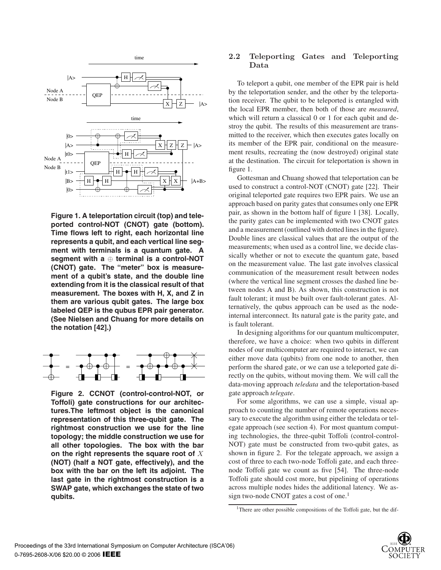

**Figure 1. A teleportation circuit (top) and teleported control-NOT (CNOT) gate (bottom). Time flows left to right, each horizontal line represents a qubit, and each vertical line segment with terminals is a quantum gate. A segment with a** ⊕ **terminal is a control-NOT (CNOT) gate. The "meter" box is measurement of a qubit's state, and the double line extending from it is the classical result of that measurement. The boxes with H, X, and Z in them are various qubit gates. The large box labeled QEP is the qubus EPR pair generator. (See Nielsen and Chuang for more details on the notation [42].)**



**Figure 2. CCNOT (control-control-NOT, or Toffoli) gate constructions for our architectures.The leftmost object is the canonical representation of this three-qubit gate. The rightmost construction we use for the line topology; the middle construction we use for all other topologies. The box with the bar on the right represents the square root of** X **(NOT) (half a NOT gate, effectively), and the box with the bar on the left its adjoint. The last gate in the rightmost construction is a SWAP gate, which exchanges the state of two qubits.**

# **2.2 Teleporting Gates and Teleporting Data**

To teleport a qubit, one member of the EPR pair is held by the teleportation sender, and the other by the teleportation receiver. The qubit to be teleported is entangled with the local EPR member, then both of those are *measured*, which will return a classical 0 or 1 for each qubit and destroy the qubit. The results of this measurement are transmitted to the receiver, which then executes gates locally on its member of the EPR pair, conditional on the measurement results, recreating the (now destroyed) original state at the destination. The circuit for teleportation is shown in figure 1.

Gottesman and Chuang showed that teleportation can be used to construct a control-NOT (CNOT) gate [22]. Their original teleported gate requires two EPR pairs. We use an approach based on parity gates that consumes only one EPR pair, as shown in the bottom half of figure 1 [38]. Locally, the parity gates can be implemented with two CNOT gates and a measurement (outlined with dotted lines in the figure). Double lines are classical values that are the output of the measurements; when used as a control line, we decide classically whether or not to execute the quantum gate, based on the measurement value. The last gate involves classical communication of the measurement result between nodes (where the vertical line segment crosses the dashed line between nodes A and B). As shown, this construction is not fault tolerant; it must be built over fault-tolerant gates. Alternatively, the qubus approach can be used as the nodeinternal interconnect. Its natural gate is the parity gate, and is fault tolerant.

In designing algorithms for our quantum multicomputer, therefore, we have a choice: when two qubits in different nodes of our multicomputer are required to interact, we can either move data (qubits) from one node to another, then perform the shared gate, or we can use a teleported gate directly on the qubits, without moving them. We will call the data-moving approach *teledata* and the teleportation-based gate approach *telegate*.

For some algorithms, we can use a simple, visual approach to counting the number of remote operations necessary to execute the algorithm using either the teledata or telegate approach (see section 4). For most quantum computing technologies, the three-qubit Toffoli (control-control-NOT) gate must be constructed from two-qubit gates, as shown in figure 2. For the telegate approach, we assign a cost of three to each two-node Toffoli gate, and each threenode Toffoli gate we count as five [54]. The three-node Toffoli gate should cost more, but pipelining of operations across multiple nodes hides the additional latency. We assign two-node CNOT gates a cost of one.<sup>1</sup>

<sup>&</sup>lt;sup>1</sup>There are other possible compositions of the Toffoli gate, but the dif-

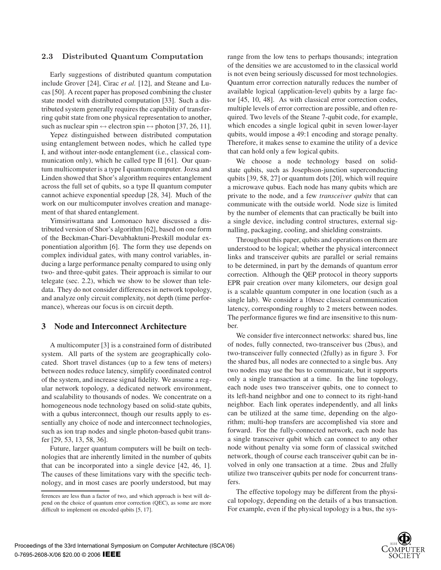#### **2.3 Distributed Quantum Computation**

Early suggestions of distributed quantum computation include Grover [24], Cirac *et al.* [12], and Steane and Lucas [50]. A recent paper has proposed combining the cluster state model with distributed computation [33]. Such a distributed system generally requires the capability of transferring qubit state from one physical representation to another, such as nuclear spin  $\leftrightarrow$  electron spin  $\leftrightarrow$  photon [37, 26, 11].

Yepez distinguished between distributed computation using entanglement between nodes, which he called type I, and without inter-node entanglement (i.e., classical communication only), which he called type II [61]. Our quantum multicomputer is a type I quantum computer. Jozsa and Linden showed that Shor's algorithm requires entanglement across the full set of qubits, so a type II quantum computer cannot achieve exponential speedup [28, 34]. Much of the work on our multicomputer involves creation and management of that shared entanglement.

Yimsiriwattana and Lomonaco have discussed a distributed version of Shor's algorithm [62], based on one form of the Beckman-Chari-Devabhaktuni-Preskill modular exponentiation algorithm [6]. The form they use depends on complex individual gates, with many control variables, inducing a large performance penalty compared to using only two- and three-qubit gates. Their approach is similar to our telegate (sec. 2.2), which we show to be slower than teledata. They do not consider differences in network topology, and analyze only circuit complexity, not depth (time performance), whereas our focus is on circuit depth.

## **3 Node and Interconnect Architecture**

A multicomputer [3] is a constrained form of distributed system. All parts of the system are geographically colocated. Short travel distances (up to a few tens of meters) between nodes reduce latency, simplify coordinated control of the system, and increase signal fidelity. We assume a regular network topology, a dedicated network environment, and scalability to thousands of nodes. We concentrate on a homogeneous node technology based on solid-state qubits, with a qubus interconnect, though our results apply to essentially any choice of node and interconnect technologies, such as ion trap nodes and single photon-based qubit transfer [29, 53, 13, 58, 36].

Future, larger quantum computers will be built on technologies that are inherently limited in the number of qubits that can be incorporated into a single device [42, 46, 1]. The causes of these limitations vary with the specific technology, and in most cases are poorly understood, but may range from the low tens to perhaps thousands; integration of the densities we are accustomed to in the classical world is not even being seriously discussed for most technologies. Quantum error correction naturally reduces the number of available logical (application-level) qubits by a large factor [45, 10, 48]. As with classical error correction codes, multiple levels of error correction are possible, and often required. Two levels of the Steane 7-qubit code, for example, which encodes a single logical qubit in seven lower-layer qubits, would impose a 49:1 encoding and storage penalty. Therefore, it makes sense to examine the utility of a device that can hold only a few logical qubits.

We choose a node technology based on solidstate qubits, such as Josephson-junction superconducting qubits [39, 58, 27] or quantum dots [20], which will require a microwave qubus. Each node has many qubits which are private to the node, and a few *transceiver qubits* that can communicate with the outside world. Node size is limited by the number of elements that can practically be built into a single device, including control structures, external signalling, packaging, cooling, and shielding constraints.

Throughout this paper, qubits and operations on them are understood to be logical; whether the physical interconnect links and transceiver qubits are parallel or serial remains to be determined, in part by the demands of quantum error correction. Although the QEP protocol in theory supports EPR pair creation over many kilometers, our design goal is a scalable quantum computer in one location (such as a single lab). We consider a 10nsec classical communication latency, corresponding roughly to 2 meters between nodes. The performance figures we find are insensitive to this number.

We consider five interconnect networks: shared bus, line of nodes, fully connected, two-transceiver bus (2bus), and two-transceiver fully connected (2fully) as in figure 3. For the shared bus, all nodes are connected to a single bus. Any two nodes may use the bus to communicate, but it supports only a single transaction at a time. In the line topology, each node uses two transceiver qubits, one to connect to its left-hand neighbor and one to connect to its right-hand neighbor. Each link operates independently, and all links can be utilized at the same time, depending on the algorithm; multi-hop transfers are accomplished via store and forward. For the fully-connected network, each node has a single transceiver qubit which can connect to any other node without penalty via some form of classical switched network, though of course each transceiver qubit can be involved in only one transaction at a time. 2bus and 2fully utilize two transceiver qubits per node for concurrent transfers.

The effective topology may be different from the physical topology, depending on the details of a bus transaction. For example, even if the physical topology is a bus, the sys-



ferences are less than a factor of two, and which approach is best will depend on the choice of quantum error correction (QEC), as some are more difficult to implement on encoded qubits [5, 17].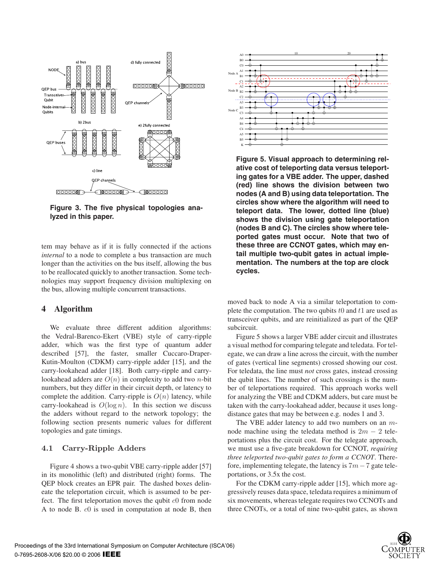

**Figure 3. The five physical topologies analyzed in this paper.**

tem may behave as if it is fully connected if the actions *internal* to a node to complete a bus transaction are much longer than the activities on the bus itself, allowing the bus to be reallocated quickly to another transaction. Some technologies may support frequency division multiplexing on the bus, allowing multiple concurrent transactions.

# **4 Algorithm**

We evaluate three different addition algorithms: the Vedral-Barenco-Ekert (VBE) style of carry-ripple adder, which was the first type of quantum adder described [57], the faster, smaller Cuccaro-Draper-Kutin-Moulton (CDKM) carry-ripple adder [15], and the carry-lookahead adder [18]. Both carry-ripple and carrylookahead adders are  $O(n)$  in complexity to add two *n*-bit numbers, but they differ in their circuit depth, or latency to complete the addition. Carry-ripple is  $O(n)$  latency, while carry-lookahead is  $O(\log n)$ . In this section we discuss the adders without regard to the network topology; the following section presents numeric values for different topologies and gate timings.

#### **4.1 Carry-Ripple Adders**

Figure 4 shows a two-qubit VBE carry-ripple adder [57] in its monolithic (left) and distributed (right) forms. The QEP block creates an EPR pair. The dashed boxes delineate the teleportation circuit, which is assumed to be perfect. The first teleportation moves the qubit <sup>c</sup>0 from node A to node B. <sup>c</sup>0 is used in computation at node B, then



**Figure 5. Visual approach to determining relative cost of teleporting data versus teleporting gates for a VBE adder. The upper, dashed (red) line shows the division between two nodes (A and B) using data teleportation. The circles show where the algorithm will need to teleport data. The lower, dotted line (blue) shows the division using gate teleportation (nodes B and C). The circles show where teleported gates must occur. Note that two of these three are CCNOT gates, which may entail multiple two-qubit gates in actual implementation. The numbers at the top are clock cycles.**

moved back to node A via a similar teleportation to complete the computation. The two qubits  $t_0$  and  $t_1$  are used as transceiver qubits, and are reinitialized as part of the QEP subcircuit.

Figure 5 shows a larger VBE adder circuit and illustrates a visual method for comparing telegate and teledata. For telegate, we can draw a line across the circuit, with the number of gates (vertical line segments) crossed showing our cost. For teledata, the line must *not* cross gates, instead crossing the qubit lines. The number of such crossings is the number of teleportations required. This approach works well for analyzing the VBE and CDKM adders, but care must be taken with the carry-lookahead adder, because it uses longdistance gates that may be between e.g. nodes 1 and 3.

The VBE adder latency to add two numbers on an  $m$ node machine using the teledata method is  $2m - 2$  teleportations plus the circuit cost. For the telegate approach, we must use a five-gate breakdown for CCNOT, *requiring three teleported two-qubit gates to form a CCNOT*. Therefore, implementing telegate, the latency is  $7m-7$  gate teleportations, or 3.5x the cost.

For the CDKM carry-ripple adder [15], which more aggressively reuses data space, teledata requires a minimum of six movements, whereas telegate requires two CCNOTs and three CNOTs, or a total of nine two-qubit gates, as shown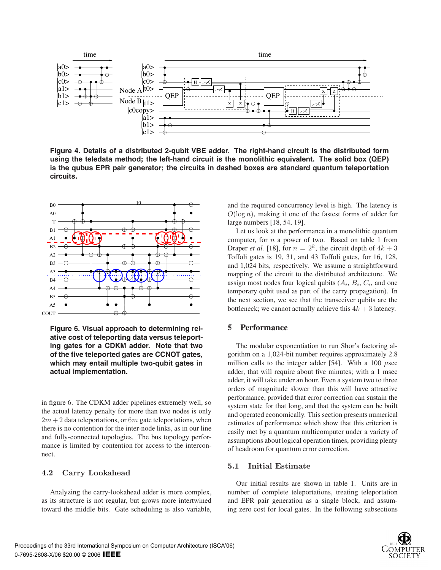

**Figure 4. Details of a distributed 2-qubit VBE adder. The right-hand circuit is the distributed form using the teledata method; the left-hand circuit is the monolithic equivalent. The solid box (QEP) is the qubus EPR pair generator; the circuits in dashed boxes are standard quantum teleportation circuits.**



**Figure 6. Visual approach to determining relative cost of teleporting data versus teleporting gates for a CDKM adder. Note that two of the five teleported gates are CCNOT gates, which may entail multiple two-qubit gates in actual implementation.**

in figure 6. The CDKM adder pipelines extremely well, so the actual latency penalty for more than two nodes is only  $2m + 2$  data teleportations, or 6m gate teleportations, when there is no contention for the inter-node links, as in our line and fully-connected topologies. The bus topology performance is limited by contention for access to the interconnect.

## **4.2 Carry Lookahead**

Analyzing the carry-lookahead adder is more complex, as its structure is not regular, but grows more intertwined toward the middle bits. Gate scheduling is also variable, and the required concurrency level is high. The latency is  $O(\log n)$ , making it one of the fastest forms of adder for large numbers [18, 54, 19].

Let us look at the performance in a monolithic quantum computer, for  $n$  a power of two. Based on table 1 from Draper *et al.* [18], for  $n = 2<sup>k</sup>$ , the circuit depth of  $4k + 3$ Toffoli gates is 19, 31, and 43 Toffoli gates, for 16, 128, and 1,024 bits, respectively. We assume a straightforward mapping of the circuit to the distributed architecture. We assign most nodes four logical qubits  $(A_i, B_i, C_i)$ , and one temporary qubit used as part of the carry propagation). In the next section, we see that the transceiver qubits are the bottleneck; we cannot actually achieve this  $4k + 3$  latency.

#### **5 Performance**

The modular exponentiation to run Shor's factoring algorithm on a 1,024-bit number requires approximately 2.8 million calls to the integer adder [54]. With a 100  $\mu$ sec adder, that will require about five minutes; with a 1 msec adder, it will take under an hour. Even a system two to three orders of magnitude slower than this will have attractive performance, provided that error correction can sustain the system state for that long, and that the system can be built and operated economically. This section presents numerical estimates of performance which show that this criterion is easily met by a quantum multicomputer under a variety of assumptions about logical operation times, providing plenty of headroom for quantum error correction.

#### **5.1 Initial Estimate**

Our initial results are shown in table 1. Units are in number of complete teleportations, treating teleportation and EPR pair generation as a single block, and assuming zero cost for local gates. In the following subsections

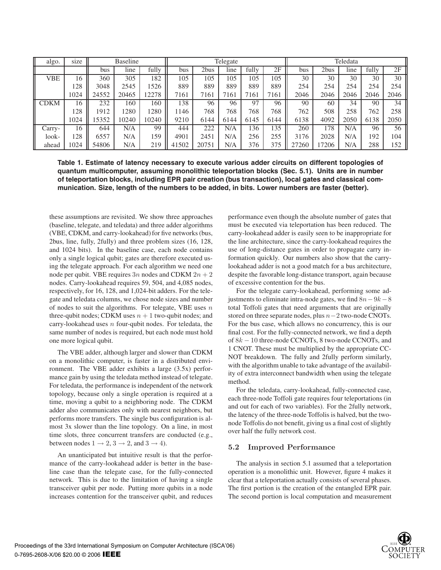| algo.       | size | <b>Baseline</b> |       |       |       |       | Telegate |       |      | Teledata |       |      |       |      |  |
|-------------|------|-----------------|-------|-------|-------|-------|----------|-------|------|----------|-------|------|-------|------|--|
|             |      | bus             | line  | fully | bus   | 2bus  | line     | fully | 2F   | bus      | 2bus  | line | fully | 2F   |  |
| VBE         | 16   | 360             | 305   | 182   | 105   | 105   | 105      | .05   | 105  | 30       | 30    | 30   | 30    | 30   |  |
|             | 128  | 3048            | 2545  | 1526  | 889   | 889   | 889      | 889   | 889  | 254      | 254   | 254  | 254   | 254  |  |
|             | 1024 | 24552           | 20465 | 2278  | '161  | 7161  | 7161     | 7161  | 7161 | 2046     | 2046  | 2046 | 2046  | 2046 |  |
| <b>CDKM</b> | 16   | 232             | 160   | 160   | 138   | 96    | 96       | 97    | 96   | 90       | 60    | 34   | 90    | 34   |  |
|             | 128  | 1912            | 280   | 1280  | 146   | 768   | 768      | 768   | 768  | 762      | 508   | 258  | 762   | 258  |  |
|             | 1024 | 15352           | 10240 | 10240 | 9210  | 6144  | 6144     | 6145  | 6144 | 6138     | 4092  | 2050 | 6138  | 2050 |  |
| Carry-      | 16   | 644             | N/A   | 99    | 444   | 222   | N/A      | 36    | 135  | 260      | 78    | N/A  | 96    | 56   |  |
| look-       | 128  | 6557            | N/A   | 159   | 4901  | 2451  | N/A      | 256   | 255  | 3176     | 2028  | N/A  | 192   | 104  |  |
| ahead       | 1024 | 54806           | N/A   | 219   | 41502 | 20751 | N/A      | 376   | 375  | 27260    | 17206 | N/A  | 288   | 152  |  |

**Table 1. Estimate of latency necessary to execute various adder circuits on different topologies of quantum multicomputer, assuming monolithic teleportation blocks (Sec. 5.1). Units are in number of teleportation blocks, including EPR pair creation (bus transaction), local gates and classical communication. Size, length of the numbers to be added, in bits. Lower numbers are faster (better).**

these assumptions are revisited. We show three approaches (baseline, telegate, and teledata) and three adder algorithms (VBE, CDKM, and carry-lookahead) for five networks (bus, 2bus, line, fully, 2fully) and three problem sizes (16, 128, and 1024 bits). In the baseline case, each node contains only a single logical qubit; gates are therefore executed using the telegate approach. For each algorithm we need one node per qubit. VBE requires  $3n$  nodes and CDKM  $2n + 2$ nodes. Carry-lookahead requires 59, 504, and 4,085 nodes, respectively, for 16, 128, and 1,024-bit adders. For the telegate and teledata columns, we chose node sizes and number of nodes to suit the algorithms. For telegate, VBE uses  $n$ three-qubit nodes; CDKM uses  $n + 1$  two-qubit nodes; and carry-lookahead uses  $n$  four-qubit nodes. For teledata, the same number of nodes is required, but each node must hold one more logical qubit.

The VBE adder, although larger and slower than CDKM on a monolithic computer, is faster in a distributed environment. The VBE adder exhibits a large (3.5x) performance gain by using the teledata method instead of telegate. For teledata, the performance is independent of the network topology, because only a single operation is required at a time, moving a qubit to a neighboring node. The CDKM adder also communicates only with nearest neighbors, but performs more transfers. The single bus configuration is almost 3x slower than the line topology. On a line, in most time slots, three concurrent transfers are conducted (e.g., between nodes  $1 \rightarrow 2$ ,  $3 \rightarrow 2$ , and  $3 \rightarrow 4$ ).

An unanticipated but intuitive result is that the performance of the carry-lookahead adder is better in the baseline case than the telegate case, for the fully-connected network. This is due to the limitation of having a single transceiver qubit per node. Putting more qubits in a node increases contention for the transceiver qubit, and reduces

performance even though the absolute number of gates that must be executed via teleportation has been reduced. The carry-lookahead adder is easily seen to be inappropriate for the line architecture, since the carry-lookahead requires the use of long-distance gates in order to propagate carry information quickly. Our numbers also show that the carrylookahead adder is not a good match for a bus architecture, despite the favorable long-distance transport, again because of excessive contention for the bus.

For the telegate carry-lookahead, performing some adjustments to eliminate intra-node gates, we find  $8n-9k-8$ total Toffoli gates that need arguments that are originally stored on three separate nodes, plus <sup>n</sup>−2 two-node CNOTs. For the bus case, which allows no concurrency, this is our final cost. For the fully-connected network, we find a depth of 8<sup>k</sup> <sup>−</sup> 10 three-node CCNOTs, 8 two-node CCNOTs, and 1 CNOT. These must be multiplied by the appropriate CC-NOT breakdown. The fully and 2fully perform similarly, with the algorithm unable to take advantage of the availability of extra interconnect bandwidth when using the telegate method.

For the teledata, carry-lookahead, fully-connected case, each three-node Toffoli gate requires four teleportations (in and out for each of two variables). For the 2fully network, the latency of the three-node Toffolis is halved, but the twonode Toffolis do not benefit, giving us a final cost of slightly over half the fully network cost.

## **5.2 Improved Performance**

The analysis in section 5.1 assumed that a teleportation operation is a monolithic unit. However, figure 4 makes it clear that a teleportation actually consists of several phases. The first portion is the creation of the entangled EPR pair. The second portion is local computation and measurement

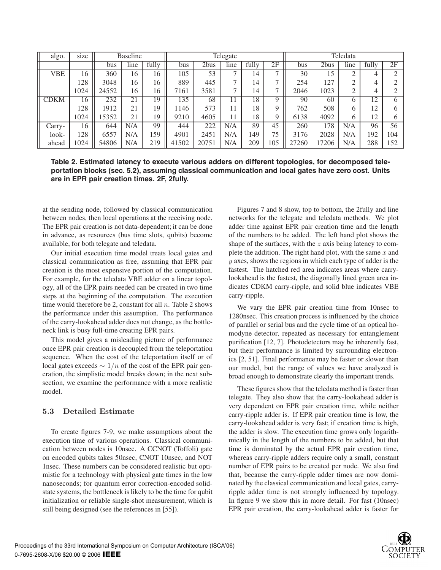| algo.       | size | <b>Baseline</b> |      |       |       | Telegate |      | Teledata |                |       |       |      |       |     |
|-------------|------|-----------------|------|-------|-------|----------|------|----------|----------------|-------|-------|------|-------|-----|
|             |      | bus             | line | fully | bus   | 2bus     | line | fully    | 2F             | bus   | 2bus  | line | fully | 2F  |
| <b>VBE</b>  | 16   | 360             | 16   | 16    | 105   | 53       | ⇁    | 14       | $\overline{ }$ | 30    | 15    | ◠    |       | ⌒   |
|             | 128  | 3048            | 16   | 16    | 889   | 445      | ⇁    | 14       |                | 254   | 127   | ⌒    |       |     |
|             | 1024 | 24552           | 16   | 16    | 7161  | 3581     | ⇁    | 14       |                | 2046  | 1023  | ⌒    |       |     |
| <b>CDKM</b> | 16   | 232             | 21   | 19    | 135   | 68       | 11   | 18       | 9              | 90    | 60    | 6    | 12    |     |
|             | 128  | 1912            | 21   | 19    | 146   | 573      | 11   | 18       | Q              | 762   | 508   | O    | 12    |     |
|             | 1024 | 15352           | 21   | 19    | 9210  | 4605     | 11   | 18       | Q              | 6138  | 4092  | O    | 12    |     |
| Carry-      | 16   | 644             | N/A  | 99    | 444   | 222      | N/A  | 89       | 45             | 260   | 178   | N/A  | 96    | 56  |
| look-       | 128  | 6557            | N/A  | 159   | 4901  | 2451     | N/A  | 49ء      | 75             | 3176  | 2028  | N/A  | 192   | 104 |
| ahead       | 1024 | 54806           | N/A  | 219   | 41502 | 20751    | N/A  | 209      | 105            | 27260 | 17206 | N/A  | 288   | 152 |

**Table 2. Estimated latency to execute various adders on different topologies, for decomposed teleportation blocks (sec. 5.2), assuming classical communication and local gates have zero cost. Units are in EPR pair creation times. 2F, 2fully.**

at the sending node, followed by classical communication between nodes, then local operations at the receiving node. The EPR pair creation is not data-dependent; it can be done in advance, as resources (bus time slots, qubits) become available, for both telegate and teledata.

Our initial execution time model treats local gates and classical communication as free, assuming that EPR pair creation is the most expensive portion of the computation. For example, for the teledata VBE adder on a linear topology, all of the EPR pairs needed can be created in two time steps at the beginning of the computation. The execution time would therefore be 2, constant for all  $n$ . Table 2 shows the performance under this assumption. The performance of the carry-lookahead adder does not change, as the bottleneck link is busy full-time creating EPR pairs.

This model gives a misleading picture of performance once EPR pair creation is decoupled from the teleportation sequence. When the cost of the teleportation itself or of local gates exceeds  $\sim 1/n$  of the cost of the EPR pair generation, the simplistic model breaks down; in the next subsection, we examine the performance with a more realistic model.

# **5.3 Detailed Estimate**

To create figures 7-9, we make assumptions about the execution time of various operations. Classical communication between nodes is 10nsec. A CCNOT (Toffoli) gate on encoded qubits takes 50nsec, CNOT 10nsec, and NOT 1nsec. These numbers can be considered realistic but optimistic for a technology with physical gate times in the low nanoseconds; for quantum error correction-encoded solidstate systems, the bottleneck is likely to be the time for qubit initialization or reliable single-shot measurement, which is still being designed (see the references in [55]).

Figures 7 and 8 show, top to bottom, the 2fully and line networks for the telegate and teledata methods. We plot adder time against EPR pair creation time and the length of the numbers to be added. The left hand plot shows the shape of the surfaces, with the  $z$  axis being latency to complete the addition. The right hand plot, with the same  $x$  and  $y$  axes, shows the regions in which each type of adder is the fastest. The hatched red area indicates areas where carrylookahead is the fastest, the diagonally lined green area indicates CDKM carry-ripple, and solid blue indicates VBE carry-ripple.

We vary the EPR pair creation time from 10nsec to 1280nsec. This creation process is influenced by the choice of parallel or serial bus and the cycle time of an optical homodyne detector, repeated as necessary for entanglement purification [12, 7]. Photodetectors may be inherently fast, but their performance is limited by surrounding electronics [2, 51]. Final performance may be faster or slower than our model, but the range of values we have analyzed is broad enough to demonstrate clearly the important trends.

These figures show that the teledata method is faster than telegate. They also show that the carry-lookahead adder is very dependent on EPR pair creation time, while neither carry-ripple adder is. If EPR pair creation time is low, the carry-lookahead adder is very fast; if creation time is high, the adder is slow. The execution time grows only logarithmically in the length of the numbers to be added, but that time is dominated by the actual EPR pair creation time, whereas carry-ripple adders require only a small, constant number of EPR pairs to be created per node. We also find that, because the carry-ripple adder times are now dominated by the classical communication and local gates, carryripple adder time is not strongly influenced by topology. In figure 9 we show this in more detail. For fast (10nsec) EPR pair creation, the carry-lookahead adder is faster for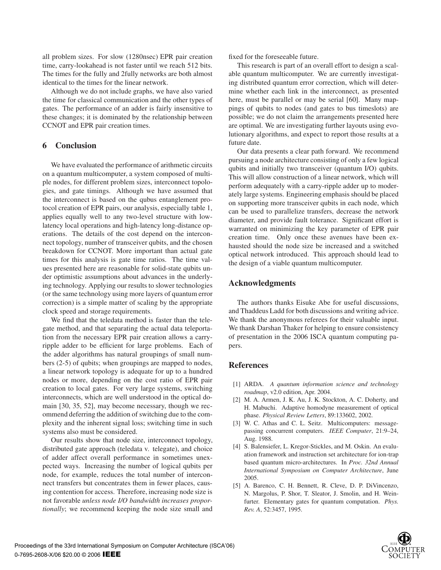all problem sizes. For slow (1280nsec) EPR pair creation time, carry-lookahead is not faster until we reach 512 bits. The times for the fully and 2fully networks are both almost identical to the times for the linear network.

Although we do not include graphs, we have also varied the time for classical communication and the other types of gates. The performance of an adder is fairly insensitive to these changes; it is dominated by the relationship between CCNOT and EPR pair creation times.

#### **6 Conclusion**

We have evaluated the performance of arithmetic circuits on a quantum multicomputer, a system composed of multiple nodes, for different problem sizes, interconnect topologies, and gate timings. Although we have assumed that the interconnect is based on the qubus entanglement protocol creation of EPR pairs, our analysis, especially table 1, applies equally well to any two-level structure with lowlatency local operations and high-latency long-distance operations. The details of the cost depend on the interconnect topology, number of transceiver qubits, and the chosen breakdown for CCNOT. More important than actual gate times for this analysis is gate time ratios. The time values presented here are reasonable for solid-state qubits under optimistic assumptions about advances in the underlying technology. Applying our results to slower technologies (or the same technology using more layers of quantum error correction) is a simple matter of scaling by the appropriate clock speed and storage requirements.

We find that the teledata method is faster than the telegate method, and that separating the actual data teleportation from the necessary EPR pair creation allows a carryripple adder to be efficient for large problems. Each of the adder algorithms has natural groupings of small numbers (2-5) of qubits; when groupings are mapped to nodes, a linear network topology is adequate for up to a hundred nodes or more, depending on the cost ratio of EPR pair creation to local gates. For very large systems, switching interconnects, which are well understood in the optical domain [30, 35, 52], may become necessary, though we recommend deferring the addition of switching due to the complexity and the inherent signal loss; switching time in such systems also must be considered.

Our results show that node size, interconnect topology, distributed gate approach (teledata v. telegate), and choice of adder affect overall performance in sometimes unexpected ways. Increasing the number of logical qubits per node, for example, reduces the total number of interconnect transfers but concentrates them in fewer places, causing contention for access. Therefore, increasing node size is not favorable *unless node I/O bandwidth increases proportionally*; we recommend keeping the node size small and fixed for the foreseeable future.

This research is part of an overall effort to design a scalable quantum multicomputer. We are currently investigating distributed quantum error correction, which will determine whether each link in the interconnect, as presented here, must be parallel or may be serial [60]. Many mappings of qubits to nodes (and gates to bus timeslots) are possible; we do not claim the arrangements presented here are optimal. We are investigating further layouts using evolutionary algorithms, and expect to report those results at a future date.

Our data presents a clear path forward. We recommend pursuing a node architecture consisting of only a few logical qubits and initially two transceiver (quantum I/O) qubits. This will allow construction of a linear network, which will perform adequately with a carry-ripple adder up to moderately large systems. Engineering emphasis should be placed on supporting more transceiver qubits in each node, which can be used to parallelize transfers, decrease the network diameter, and provide fault tolerance. Significant effort is warranted on minimizing the key parameter of EPR pair creation time. Only once these avenues have been exhausted should the node size be increased and a switched optical network introduced. This approach should lead to the design of a viable quantum multicomputer.

#### **Acknowledgments**

The authors thanks Eisuke Abe for useful discussions, and Thaddeus Ladd for both discussions and writing advice. We thank the anonymous referees for their valuable input. We thank Darshan Thaker for helping to ensure consistency of presentation in the 2006 ISCA quantum computing papers.

#### **References**

- [1] ARDA. *A quantum information science and technology roadmap*, v2.0 edition, Apr. 2004.
- [2] M. A. Armen, J. K. Au, J. K. Stockton, A. C. Doherty, and H. Mabuchi. Adaptive homodyne measurement of optical phase. *Physical Review Letters*, 89:133602, 2002.
- [3] W. C. Athas and C. L. Seitz. Multicomputers: messagepassing concurrent computers. *IEEE Computer*, 21:9–24, Aug. 1988.
- [4] S. Balensiefer, L. Kregor-Stickles, and M. Oskin. An evaluation framework and instruction set architecture for ion-trap based quantum micro-architectures. In *Proc. 32nd Annual International Symposium on Computer Architecture*, June 2005.
- [5] A. Barenco, C. H. Bennett, R. Cleve, D. P. DiVincenzo, N. Margolus, P. Shor, T. Sleator, J. Smolin, and H. Weinfurter. Elementary gates for quantum computation. *Phys. Rev. A*, 52:3457, 1995.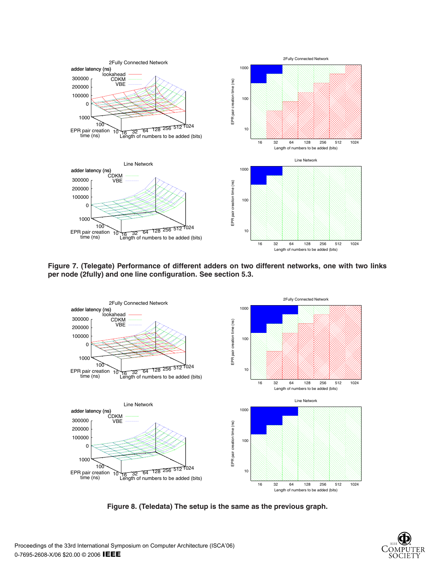

**Figure 7. (Telegate) Performance of different adders on two different networks, one with two links per node (2fully) and one line configuration. See section 5.3.**



**Figure 8. (Teledata) The setup is the same as the previous graph.**

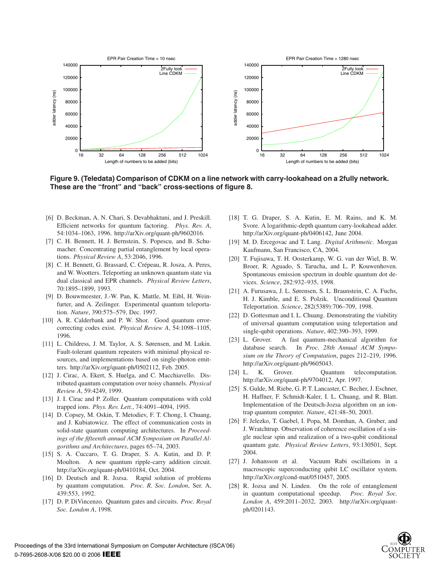

**Figure 9. (Teledata) Comparison of CDKM on a line network with carry-lookahead on a 2fully network. These are the "front" and "back" cross-sections of figure 8.**

- [6] D. Beckman, A. N. Chari, S. Devabhaktuni, and J. Preskill. Efficient networks for quantum factoring. *Phys. Rev. A*, 54:1034–1063, 1996. http://arXiv.org/quant-ph/9602016.
- [7] C. H. Bennett, H. J. Bernstein, S. Popescu, and B. Schumacher. Concentrating partial entanglement by local operations. *Physical Review A*, 53:2046, 1996.
- [8] C. H. Bennett, G. Brassard, C. Crépeau, R. Josza, A. Peres, and W. Wootters. Teleporting an unknown quantum state via dual classical and EPR channels. *Physical Review Letters*, 70:1895–1899, 1993.
- [9] D. Bouwmeester, J.-W. Pan, K. Mattle, M. Eibl, H. Weinfurter, and A. Zeilinger. Experimental quantum teleportation. *Nature*, 390:575–579, Dec. 1997.
- [10] A. R. Calderbank and P. W. Shor. Good quantum errorcorrecting codes exist. *Physical Review A*, 54:1098–1105, 1996.
- [11] L. Childress, J. M. Taylor, A. S. Sørensen, and M. Lukin. Fault-tolerant quantum repeaters with minimal physical resources, and implementations based on single-photon emitters. http://arXiv.org/quant-ph/0502112, Feb. 2005.
- [12] J. Cirac, A. Ekert, S. Huelga, and C. Macchiavello. Distributed quantum computation over noisy channels. *Physical Review A*, 59:4249, 1999.
- [13] J. I. Cirac and P. Zoller. Quantum computations with cold trapped ions. *Phys. Rev. Lett.*, 74:4091–4094, 1995.
- [14] D. Copsey, M. Oskin, T. Metodiev, F. T. Chong, I. Chuang, and J. Kubiatowicz. The effect of communication costs in solid-state quantum computing architectures. In *Proceedings of the fifteenth annual ACM Symposium on Parallel Algorithms and Architectures*, pages 65–74, 2003.
- [15] S. A. Cuccaro, T. G. Draper, S. A. Kutin, and D. P. Moulton. A new quantum ripple-carry addition circuit. http://arXiv.org/quant-ph/0410184, Oct. 2004.
- [16] D. Deutsch and R. Jozsa. Rapid solution of problems by quantum computation. *Proc. R. Soc. London*, Ser. A, 439:553, 1992.
- [17] D. P. DiVincenzo. Quantum gates and circuits. *Proc. Royal Soc. London A*, 1998.
- [18] T. G. Draper, S. A. Kutin, E. M. Rains, and K. M. Svore. A logarithmic-depth quantum carry-lookahead adder. http://arXiv.org/quant-ph/0406142, June 2004.
- [19] M. D. Ercegovac and T. Lang. *Digital Arithmetic*. Morgan Kaufmann, San Francisco, CA, 2004.
- [20] T. Fujisawa, T. H. Oosterkamp, W. G. van der Wiel, B. W. Broer, R. Aguado, S. Tarucha, and L. P. Kouwenhoven. Spontaneous emission spectrum in double quantum dot devices. *Science*, 282:932–935, 1998.
- [21] A. Furusawa, J. L. Sørensen, S. L. Braunstein, C. A. Fuchs, H. J. Kimble, and E. S. Polzik. Unconditional Quantum Teleportation. *Science*, 282(5389):706–709, 1998.
- [22] D. Gottesman and I. L. Chuang. Demonstrating the viability of universal quantum computation using teleportation and single-qubit operations. *Nature*, 402:390–393, 1999.
- [23] L. Grover. A fast quantum-mechanical algorithm for database search. In *Proc. 28th Annual ACM Symposium on the Theory of Computation*, pages 212–219, 1996. http://arXiv.org/quant-ph/9605043.
- [24] L. K. Grover. Quantum telecomputation. http://arXiv.org/quant-ph/9704012, Apr. 1997.
- [25] S. Gulde, M. Riebe, G. P. T. Lancaster, C. Becher, J. Eschner, H. Haffner, F. Schmidt-Kaler, I. L. Chuang, and R. Blatt. Implementation of the Deutsch-Jozsa algorithm on an iontrap quantum computer. *Nature*, 421:48–50, 2003.
- [26] F. Jelezko, T. Gaebel, I. Popa, M. Domhan, A. Gruber, and J. Wratchtrup. Observation of coherence oscillation of a single nuclear spin and realization of a two-qubit conditional quantum gate. *Physical Review Letters*, 93:130501, Sept. 2004.
- [27] J. Johansson et al. Vacuum Rabi oscillations in a macroscopic superconducting qubit LC oscillator system. http://arXiv.org/cond-mat/0510457, 2005.
- [28] R. Jozsa and N. Linden. On the role of entanglement in quantum computational speedup. *Proc. Royal Soc. London A*, 459:2011–2032, 2003. http://arXiv.org/quantph/0201143.